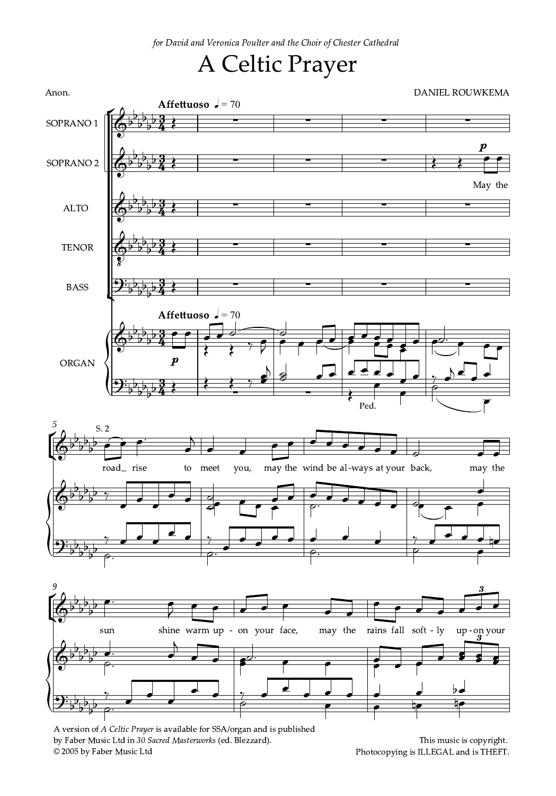for David and Veronica Poulter and the Choir of Chester Cathedral

## A Celtic Prayer

<u>3</u>  $\frac{3}{4}$ ş  $\frac{3}{4}$ <u>3</u>  $\frac{3}{4}$ ş  $\frac{3}{4}$ <u>3</u>  $\frac{3}{4}$ <u>3</u>  $\frac{3}{4}$ 3<br>3  $\frac{3}{4}$ Affettuoso  $J = 70$ Affettuoso  $J = 70$ Anon. DANIEL ROUWKEMA SOPRANO 1 SOPRANO 2 ALTO TENOR BASS ORGAN ¡ ¢  $\overline{\mathbb{Q}^{\flat}}$ b  $\frac{1}{2}$  $\flat$  $\frac{1}{2}$   $\overline{\mathbb{Q}^{\flat}}$ b  $\overline{b}$  $\frac{1}{2}$  $\frac{1}{2}$  May the p  $\overline{\cdot}$  $\overline{\mathbb{Q}^{\flat}}$ b  $\overline{b}$  $\frac{1}{2}$  $\frac{1}{2}$  $\begin{array}{c} \begin{array}{c} 2 \\ 2 \end{array} \end{array}$  $\Phi$ z<br>8  $\frac{1}{2}$ b  $\overline{b}$  $\frac{1}{2}$  $\frac{1}{2}$  $\begin{array}{c} \begin{array}{c} 2 \\ 2 \end{array} \end{array}$  $\mathfrak{R}_{\flat}$ b  $\overline{b}$  $\overline{\mathbf{b}}$  $\frac{1}{2}$  $\frac{3}{4}$  $\overline{\mathbb{Q}^{\flat}}$ b  $\frac{1}{2}$  $\frac{1}{2}$  $\frac{1}{2}$ b  $\frac{1}{2}$  $\begin{array}{|c|c|c|c|}\n\hline\n\end{array}$  $\frac{1}{2}$  $\mathbf{\mathfrak{P}}_{\flat}$ b  $\overline{b}$  $\overline{b}$  $\frac{1}{2}$  $\overline{b}$  $\boldsymbol{p}$  $\begin{array}{c} \begin{array}{c} \begin{array}{c} \end{array} & \begin{array}{c} \end{array} & \begin{array}{c} \end{array} & \begin{array}{c} \end{array} & \begin{array}{c} \end{array} & \begin{array}{c} \end{array} & \begin{array}{c} \end{array} & \begin{array}{c} \end{array} & \begin{array}{c} \end{array} & \begin{array}{c} \end{array} & \begin{array}{c} \end{array} & \begin{array}{c} \end{array} & \begin{array}{c} \end{array} & \begin{array}{c} \end{array} & \begin{array}{c} \end{array} & \begin{array}{c} \end{array$ )<br>8 Ŋ₹ J  $\overline{\bm{\mathfrak{F}}}$  $\sqrt{\phantom{a}}$ Ped.  $\overline{a}$  $\overline{\bullet}$  $\Gamma$ 5 ¡ **to** b  $\overline{b}$  $\frac{1}{2}$  $\overline{b}$ b road<sub>—</sub> rise S. 2  $\overbrace{\cdot}$ to meet  $\overline{\phantom{a}}$  $\overline{\phantom{a}}$ you,  $\overline{\phantom{a}}$ may the wind be al-ways at your back,  $\overline{\phantom{0}}$  $\overrightarrow{a}$ may the  $\overline{\phantom{a}}$  $\overline{\mathbb{Q}^{\flat}}$ b  $\overline{b}$  $\frac{1}{2}$  $\frac{1}{2}$  $\begin{array}{c|c|c|c|c} \hline \circ & \bullet & \bullet & \circ \end{array}$  $\frac{a}{a}$  $\frac{1}{\epsilon}$   $\frac{1}{\epsilon}$  $\frac{1}{\sqrt{1-\frac{1}{\sqrt{1-\frac{1}{\sqrt{1-\frac{1}{\sqrt{1-\frac{1}{\sqrt{1-\frac{1}{\sqrt{1-\frac{1}{\sqrt{1-\frac{1}{\sqrt{1-\frac{1}{\sqrt{1-\frac{1}{\sqrt{1-\frac{1}{\sqrt{1-\frac{1}{\sqrt{1-\frac{1}{\sqrt{1-\frac{1}{\sqrt{1-\frac{1}{\sqrt{1-\frac{1}{\sqrt{1-\frac{1}{\sqrt{1-\frac{1}{\sqrt{1-\frac{1}{\sqrt{1-\frac{1}{\sqrt{1-\frac{1}{\sqrt{1-\frac{1}{\sqrt{1-\frac{1}{\sqrt{1-\frac{1}{\sqrt{1-\frac{1$  $\frac{1}{\bullet}$  $\frac{1}{\epsilon}$  $\mathbf{\mathfrak{P}}_{\flat}$ b  $\overline{b}$  $\overline{\mathbf{b}}$  $\overline{5}$  $\frac{1}{\rho}$  $\frac{1}{\varphi}$  ,  $\frac{1}{\varphi}$  ,  $\frac{1}{\varphi}$  ,  $\frac{1}{\varphi}$  $\frac{1}{\rho}$ .  $\begin{array}{c|c} \hline \end{array}$  $\frac{1}{2}$ 9 ¡ **to** b  $\frac{1}{2}$  $\flat$  $\frac{1}{2}$  $\overline{b}$ sun  $\bullet$ : shine warm up - on your face,  $\overline{\bullet}$  $\bar{z}$  $\overline{\phantom{a}}$  $\sqrt{2}$ may the rains  $\overline{\phantom{a}}$ soft -  $\operatorname{ly}$  $\overline{\phantom{a}}$ - ly up - on your  $\overline{\phantom{a}}$ 3  $\overline{\cdot}$  $\overline{\mathbb{Q}^{\flat}}$ b  $\frac{1}{2}$  $\flat$  $\frac{1}{2}$  $\overline{\phantom{a}}$  $\overline{\phantom{a}}$ .  $\frac{1}{2}$  ,  $\frac{1}{2}$  $\overline{\bullet}$  $\overline{\mathbf{z}}$  $\overline{\mathbf{z}}$  $\overline{\bullet}$  $\mathbf{\mathfrak{P}}_{\flat}$ b  $\frac{1}{2}$  $\overline{\mathbf{b}}$  $\frac{1}{2}$  $\frac{1}{\rho}$ .  $\frac{1}{\sqrt{2}}$  $\frac{1}{\sqrt{1-\frac{1}{2}}}$  $\frac{1}{\sqrt{2}}$  $\begin{array}{c|c}\n\downarrow & & b \\
\hline\n\uparrow & & \downarrow\n\end{array}$ L<br>Li <u>J</u>  $\frac{1}{\epsilon}$ 

A version of A Celtic Prayer is available for SSA/organ and is published by Faber Music Ltd in 30 Sacred Masterworks (ed. Blezzard). © 2005 by Faber Music Ltd

This music is copyright. Photocopying is ILLEGAL and is THEFT.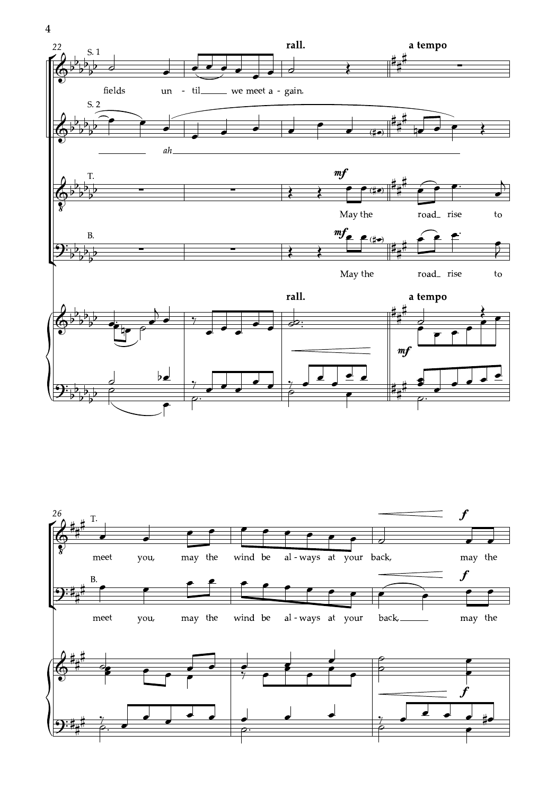



 $\overline{\mathbf{4}}$